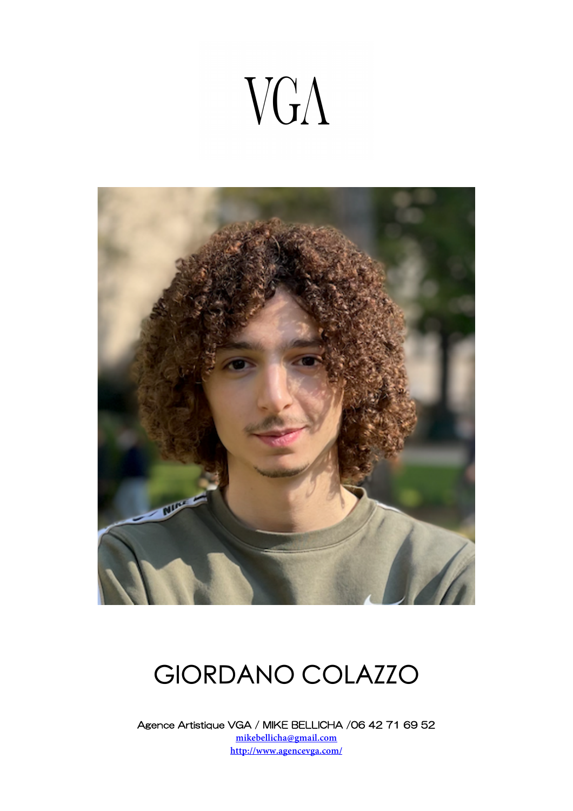# VGA



### GIORDANO COLAZZO

Agence Artistique VGA / MIKE BELLICHA /06 42 71 69 52 **mikebellicha@gmail.com http://www.agencevga.com/**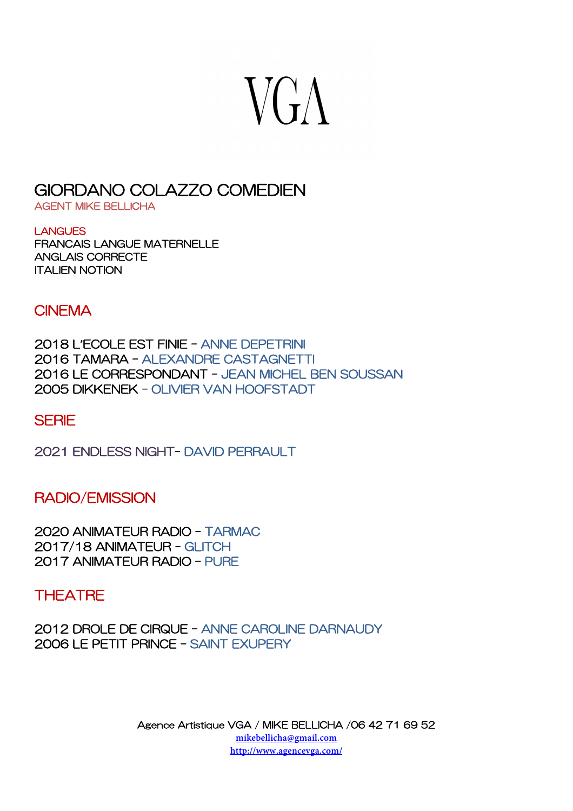### $V G \Lambda$

### GIORDANO COLAZZO COMEDIEN AGENT MIKE BELLICHA

**LANGUES** FRANCAIS LANGUE MATERNELLE ANGLAIS CORRECTE ITALIEN NOTION

#### **CINEMA**

2018 L**'**ECOLE EST FINIE – ANNE DEPETRINI 2016 TAMARA – ALEXANDRE CASTAGNETTI 2016 LE CORRESPONDANT – JEAN MICHEL BEN SOUSSAN 2005 DIKKENEK – OLIVIER VAN HOOFSTADT

#### **SFRIF**

2021 ENDLESS NIGHT- DAVID PERRAULT

#### RADIO/EMISSION

2020 ANIMATEUR RADIO – TARMAC 2017/18 ANIMATEUR - GLITCH 2017 ANIMATEUR RADIO – PURE

#### **THEATRE**

2012 DROLE DE CIRQUE – ANNE CAROLINE DARNAUDY 2006 LE PETIT PRINCE – SAINT EXUPERY

> Agence Artistique VGA / MIKE BELLICHA /06 42 71 69 52 **mikebellicha@gmail.com http://www.agencevga.com/**